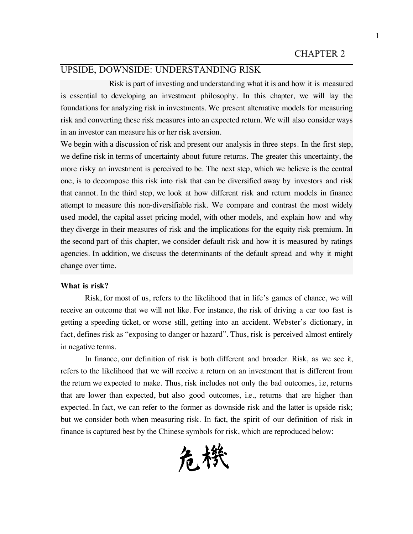# UPSIDE, DOWNSIDE: UNDERSTANDING RISK

Risk is part of investing and understanding what it is and how it is measured is essential to developing an investment philosophy. In this chapter, we will lay the foundations for analyzing risk in investments. We present alternative models for measuring risk and converting these risk measures into an expected return. We will also consider ways in an investor can measure his or her risk aversion.

We begin with a discussion of risk and present our analysis in three steps. In the first step, we define risk in terms of uncertainty about future returns. The greater this uncertainty, the more risky an investment is perceived to be. The next step, which we believe is the central one, is to decompose this risk into risk that can be diversified away by investors and risk that cannot. In the third step, we look at how different risk and return models in finance attempt to measure this non-diversifiable risk. We compare and contrast the most widely used model, the capital asset pricing model, with other models, and explain how and why they diverge in their measures of risk and the implications for the equity risk premium. In the second part of this chapter, we consider default risk and how it is measured by ratings agencies. In addition, we discuss the determinants of the default spread and why it might change over time.

## **What is risk?**

Risk, for most of us, refers to the likelihood that in life's games of chance, we will receive an outcome that we will not like. For instance, the risk of driving a car too fast is getting a speeding ticket, or worse still, getting into an accident. Webster's dictionary, in fact, defines risk as "exposing to danger or hazard". Thus, risk is perceived almost entirely in negative terms.

In finance, our definition of risk is both different and broader. Risk, as we see it, refers to the likelihood that we will receive a return on an investment that is different from the return we expected to make. Thus, risk includes not only the bad outcomes, i.e, returns that are lower than expected, but also good outcomes, i.e., returns that are higher than expected. In fact, we can refer to the former as downside risk and the latter is upside risk; but we consider both when measuring risk. In fact, the spirit of our definition of risk in finance is captured best by the Chinese symbols for risk, which are reproduced below:

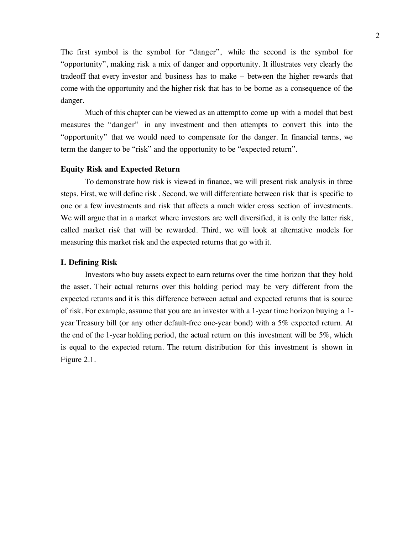The first symbol is the symbol for "danger", while the second is the symbol for "opportunity", making risk a mix of danger and opportunity. It illustrates very clearly the tradeoff that every investor and business has to make – between the higher rewards that come with the opportunity and the higher risk that has to be borne as a consequence of the danger.

Much of this chapter can be viewed as an attempt to come up with a model that best measures the "danger" in any investment and then attempts to convert this into the "opportunity" that we would need to compensate for the danger. In financial terms, we term the danger to be "risk" and the opportunity to be "expected return".

### **Equity Risk and Expected Return**

To demonstrate how risk is viewed in finance, we will present risk analysis in three steps. First, we will define risk . Second, we will differentiate between risk that is specific to one or a few investments and risk that affects a much wider cross section of investments. We will argue that in a market where investors are well diversified, it is only the latter risk, called market ris*k* that will be rewarded. Third, we will look at alternative models for measuring this market risk and the expected returns that go with it.

#### **I. Defining Risk**

Investors who buy assets expect to earn returns over the time horizon that they hold the asset. Their actual returns over this holding period may be very different from the expected returns and it is this difference between actual and expected returns that is source of risk. For example, assume that you are an investor with a 1-year time horizon buying a 1 year Treasury bill (or any other default-free one-year bond) with a 5% expected return. At the end of the 1-year holding period, the actual return on this investment will be 5%, which is equal to the expected return. The return distribution for this investment is shown in Figure 2.1.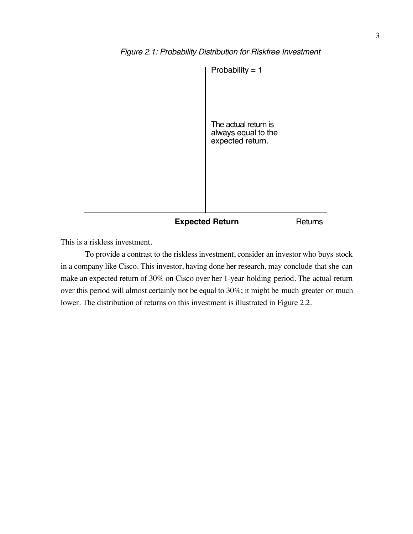

This is a riskless investment.

To provide a contrast to the riskless investment, consider an investor who buys stock in a company like Cisco. This investor, having done her research, may conclude that she can make an expected return of 30% on Cisco over her 1-year holding period. The actual return over this period will almost certainly not be equal to 30%; it might be much greater or much lower. The distribution of returns on this investment is illustrated in Figure 2.2.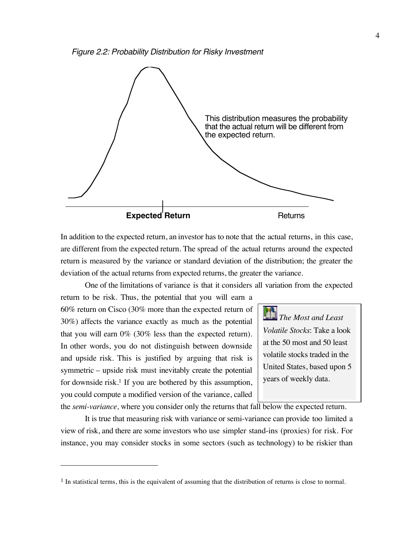*Figure 2.2: Probability Distribution for Risky Investment*



In addition to the expected return, an investor has to note that the actual returns, in this case, are different from the expected return. The spread of the actual returns around the expected return is measured by the variance or standard deviation of the distribution; the greater the deviation of the actual returns from expected returns, the greater the variance.

One of the limitations of variance is that it considers all variation from the expected

return to be risk. Thus, the potential that you will earn a 60% return on Cisco (30% more than the expected return of 30%) affects the variance exactly as much as the potential that you will earn 0% (30% less than the expected return). In other words, you do not distinguish between downside and upside risk. This is justified by arguing that risk is symmetric – upside risk must inevitably create the potential for downside risk.<sup>1</sup> If you are bothered by this assumption, you could compute a modified version of the variance, called

 $\overline{a}$ 

*The Most and Least Volatile Stocks*: Take a look at the 50 most and 50 least volatile stocks traded in the United States, based upon 5 years of weekly data.

the *semi-variance,* where you consider only the returns that fall below the expected return.

It is true that measuring risk with variance or semi-variance can provide too limited a view of risk, and there are some investors who use simpler stand-ins (proxies) for risk. For instance, you may consider stocks in some sectors (such as technology) to be riskier than

 $<sup>1</sup>$  In statistical terms, this is the equivalent of assuming that the distribution of returns is close to normal.</sup>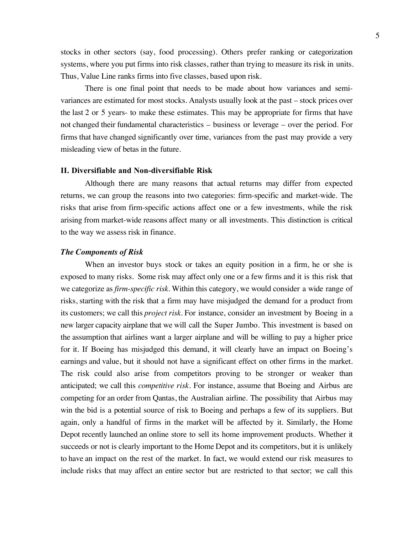stocks in other sectors (say, food processing). Others prefer ranking or categorization systems, where you put firms into risk classes, rather than trying to measure its risk in units. Thus, Value Line ranks firms into five classes, based upon risk.

There is one final point that needs to be made about how variances and semivariances are estimated for most stocks. Analysts usually look at the past – stock prices over the last 2 or 5 years- to make these estimates. This may be appropriate for firms that have not changed their fundamental characteristics – business or leverage – over the period. For firms that have changed significantly over time, variances from the past may provide a very misleading view of betas in the future.

### **II. Diversifiable and Non-diversifiable Risk**

Although there are many reasons that actual returns may differ from expected returns, we can group the reasons into two categories: firm-specific and market-wide. The risks that arise from firm-specific actions affect one or a few investments, while the risk arising from market-wide reasons affect many or all investments. This distinction is critical to the way we assess risk in finance.

#### *The Components of Risk*

When an investor buys stock or takes an equity position in a firm, he or she is exposed to many risks. Some risk may affect only one or a few firms and it is this risk that we categorize as *firm-specific risk*. Within this category, we would consider a wide range of risks, starting with the risk that a firm may have misjudged the demand for a product from its customers; we call this *project risk*. For instance, consider an investment by Boeing in a new larger capacity airplane that we will call the Super Jumbo. This investment is based on the assumption that airlines want a larger airplane and will be willing to pay a higher price for it. If Boeing has misjudged this demand, it will clearly have an impact on Boeing's earnings and value, but it should not have a significant effect on other firms in the market. The risk could also arise from competitors proving to be stronger or weaker than anticipated; we call this *competitive risk*. For instance, assume that Boeing and Airbus are competing for an order from Qantas, the Australian airline. The possibility that Airbus may win the bid is a potential source of risk to Boeing and perhaps a few of its suppliers. But again, only a handful of firms in the market will be affected by it. Similarly, the Home Depot recently launched an online store to sell its home improvement products. Whether it succeeds or not is clearly important to the Home Depot and its competitors, but it is unlikely to have an impact on the rest of the market. In fact, we would extend our risk measures to include risks that may affect an entire sector but are restricted to that sector; we call this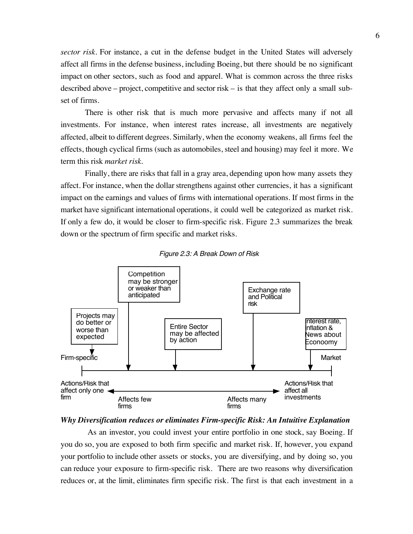*sector risk*. For instance, a cut in the defense budget in the United States will adversely affect all firms in the defense business, including Boeing, but there should be no significant impact on other sectors, such as food and apparel. What is common across the three risks described above – project, competitive and sector risk – is that they affect only a small subset of firms.

There is other risk that is much more pervasive and affects many if not all investments. For instance, when interest rates increase, all investments are negatively affected, albeit to different degrees. Similarly, when the economy weakens, all firms feel the effects, though cyclical firms (such as automobiles, steel and housing) may feel it more. We term this risk *market risk*.

Finally, there are risks that fall in a gray area, depending upon how many assets they affect. For instance, when the dollar strengthens against other currencies, it has a significant impact on the earnings and values of firms with international operations. If most firms in the market have significant international operations, it could well be categorized as market risk. If only a few do, it would be closer to firm-specific risk. Figure 2.3 summarizes the break down or the spectrum of firm specific and market risks.





### *Why Diversification reduces or eliminates Firm-specific Risk: An Intuitive Explanation*

As an investor, you could invest your entire portfolio in one stock, say Boeing. If you do so, you are exposed to both firm specific and market risk. If, however, you expand your portfolio to include other assets or stocks, you are diversifying, and by doing so, you can reduce your exposure to firm-specific risk. There are two reasons why diversification reduces or, at the limit, eliminates firm specific risk. The first is that each investment in a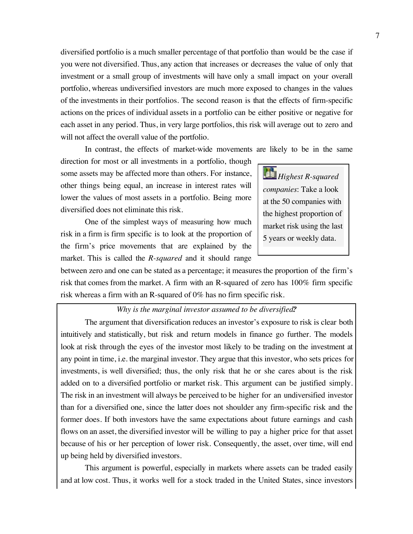diversified portfolio is a much smaller percentage of that portfolio than would be the case if you were not diversified. Thus, any action that increases or decreases the value of only that investment or a small group of investments will have only a small impact on your overall portfolio, whereas undiversified investors are much more exposed to changes in the values of the investments in their portfolios. The second reason is that the effects of firm-specific actions on the prices of individual assets in a portfolio can be either positive or negative for each asset in any period. Thus, in very large portfolios, this risk will average out to zero and will not affect the overall value of the portfolio.

In contrast, the effects of market-wide movements are likely to be in the same

direction for most or all investments in a portfolio, though some assets may be affected more than others. For instance, other things being equal, an increase in interest rates will lower the values of most assets in a portfolio. Being more diversified does not eliminate this risk.

One of the simplest ways of measuring how much risk in a firm is firm specific is to look at the proportion of the firm's price movements that are explained by the market. This is called the *R-squared* and it should range

*Highest R-squared companies*: Take a look at the 50 companies with the highest proportion of market risk using the last 5 years or weekly data.

between zero and one can be stated as a percentage; it measures the proportion of the firm's risk that comes from the market. A firm with an R-squared of zero has 100% firm specific risk whereas a firm with an R-squared of 0% has no firm specific risk.

## *Why is the marginal investor assumed to be diversified?*

The argument that diversification reduces an investor's exposure to risk is clear both intuitively and statistically, but risk and return models in finance go further. The models look at risk through the eyes of the investor most likely to be trading on the investment at any point in time, i.e. the marginal investor. They argue that this investor, who sets prices for investments, is well diversified; thus, the only risk that he or she cares about is the risk added on to a diversified portfolio or market risk. This argument can be justified simply. The risk in an investment will always be perceived to be higher for an undiversified investor than for a diversified one, since the latter does not shoulder any firm-specific risk and the former does. If both investors have the same expectations about future earnings and cash flows on an asset, the diversified investor will be willing to pay a higher price for that asset because of his or her perception of lower risk. Consequently, the asset, over time, will end up being held by diversified investors.

This argument is powerful, especially in markets where assets can be traded easily and at low cost. Thus, it works well for a stock traded in the United States, since investors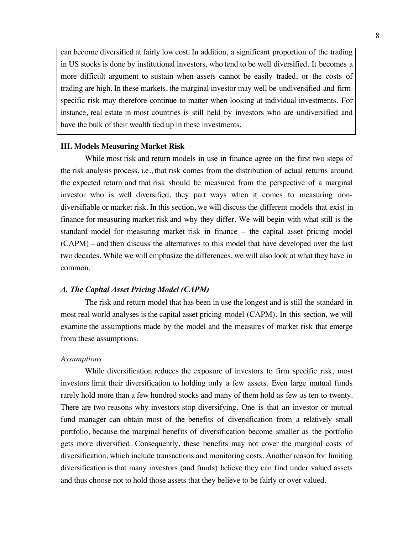can become diversified at fairly low cost. In addition, a significant proportion of the trading in US stocks is done by institutional investors, who tend to be well diversified. It becomes a more difficult argument to sustain when assets cannot be easily traded, or the costs of trading are high. In these markets, the marginal investor may well be undiversified and firmspecific risk may therefore continue to matter when looking at individual investments. For instance, real estate in most countries is still held by investors who are undiversified and have the bulk of their wealth tied up in these investments.

### **III. Models Measuring Market Risk**

While most risk and return models in use in finance agree on the first two steps of the risk analysis process, i.e., that risk comes from the distribution of actual returns around the expected return and that risk should be measured from the perspective of a marginal investor who is well diversified, they part ways when it comes to measuring nondiversifiable or market risk. In this section, we will discuss the different models that exist in finance for measuring market risk and why they differ. We will begin with what still is the standard model for measuring market risk in finance – the capital asset pricing model (CAPM) – and then discuss the alternatives to this model that have developed over the last two decades. While we will emphasize the differences, we will also look at what they have in common.

## *A. The Capital Asset Pricing Model (CAPM)*

The risk and return model that has been in use the longest and is still the standard in most real world analyses is the capital asset pricing model (CAPM). In this section, we will examine the assumptions made by the model and the measures of market risk that emerge from these assumptions.

### *Assumptions*

While diversification reduces the exposure of investors to firm specific risk, most investors limit their diversification to holding only a few assets. Even large mutual funds rarely hold more than a few hundred stocks and many of them hold as few as ten to twenty. There are two reasons why investors stop diversifying. One is that an investor or mutual fund manager can obtain most of the benefits of diversification from a relatively small portfolio, because the marginal benefits of diversification become smaller as the portfolio gets more diversified. Consequently, these benefits may not cover the marginal costs of diversification, which include transactions and monitoring costs. Another reason for limiting diversification is that many investors (and funds) believe they can find under valued assets and thus choose not to hold those assets that they believe to be fairly or over valued.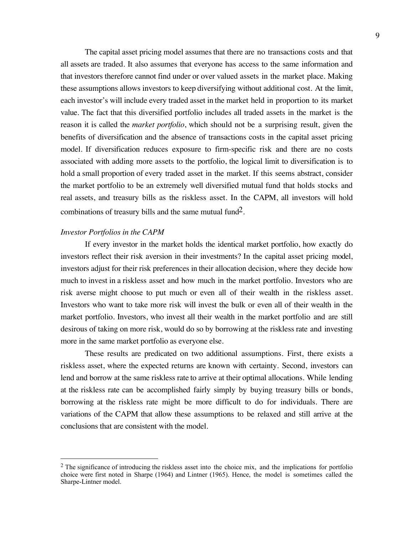The capital asset pricing model assumes that there are no transactions costs and that all assets are traded. It also assumes that everyone has access to the same information and that investors therefore cannot find under or over valued assets in the market place. Making these assumptions allows investors to keep diversifying without additional cost. At the limit, each investor's will include every traded asset in the market held in proportion to its market value. The fact that this diversified portfolio includes all traded assets in the market is the reason it is called the *market portfolio*, which should not be a surprising result, given the benefits of diversification and the absence of transactions costs in the capital asset pricing model. If diversification reduces exposure to firm-specific risk and there are no costs associated with adding more assets to the portfolio, the logical limit to diversification is to hold a small proportion of every traded asset in the market. If this seems abstract, consider the market portfolio to be an extremely well diversified mutual fund that holds stocks and real assets, and treasury bills as the riskless asset. In the CAPM, all investors will hold combinations of treasury bills and the same mutual fund<sup>2</sup>.

## *Investor Portfolios in the CAPM*

 $\overline{a}$ 

If every investor in the market holds the identical market portfolio, how exactly do investors reflect their risk aversion in their investments? In the capital asset pricing model, investors adjust for their risk preferences in their allocation decision, where they decide how much to invest in a riskless asset and how much in the market portfolio. Investors who are risk averse might choose to put much or even all of their wealth in the riskless asset. Investors who want to take more risk will invest the bulk or even all of their wealth in the market portfolio. Investors, who invest all their wealth in the market portfolio and are still desirous of taking on more risk, would do so by borrowing at the riskless rate and investing more in the same market portfolio as everyone else.

These results are predicated on two additional assumptions. First, there exists a riskless asset, where the expected returns are known with certainty. Second, investors can lend and borrow at the same riskless rate to arrive at their optimal allocations. While lending at the riskless rate can be accomplished fairly simply by buying treasury bills or bonds, borrowing at the riskless rate might be more difficult to do for individuals. There are variations of the CAPM that allow these assumptions to be relaxed and still arrive at the conclusions that are consistent with the model.

<sup>&</sup>lt;sup>2</sup> The significance of introducing the riskless asset into the choice mix, and the implications for portfolio choice were first noted in Sharpe (1964) and Lintner (1965). Hence, the model is sometimes called the Sharpe-Lintner model.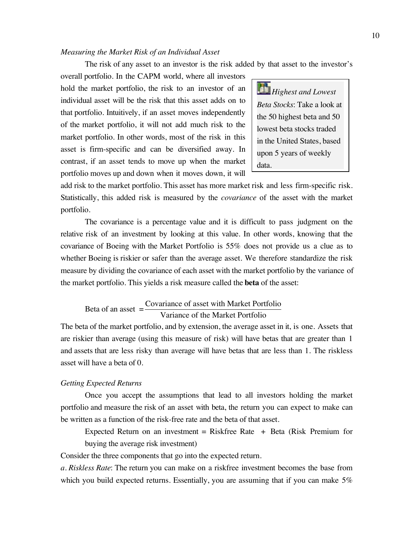## *Measuring the Market Risk of an Individual Asset*

The risk of any asset to an investor is the risk added by that asset to the investor's

overall portfolio. In the CAPM world, where all investors hold the market portfolio, the risk to an investor of an individual asset will be the risk that this asset adds on to that portfolio. Intuitively, if an asset moves independently of the market portfolio, it will not add much risk to the market portfolio. In other words, most of the risk in this asset is firm-specific and can be diversified away. In contrast, if an asset tends to move up when the market portfolio moves up and down when it moves down, it will



add risk to the market portfolio. This asset has more market risk and less firm-specific risk. Statistically, this added risk is measured by the *covariance* of the asset with the market portfolio.

The covariance is a percentage value and it is difficult to pass judgment on the relative risk of an investment by looking at this value. In other words, knowing that the covariance of Boeing with the Market Portfolio is 55% does not provide us a clue as to whether Boeing is riskier or safer than the average asset. We therefore standardize the risk measure by dividing the covariance of each asset with the market portfolio by the variance of the market portfolio. This yields a risk measure called the **beta** of the asset:

# Beta of an asset  $=\frac{\text{Covariance of asset with Market Portfolio}}{N}$ Variance of the Market Portfolio

The beta of the market portfolio, and by extension, the average asset in it, is one. Assets that are riskier than average (using this measure of risk) will have betas that are greater than 1 and assets that are less risky than average will have betas that are less than 1. The riskless asset will have a beta of 0.

### *Getting Expected Returns*

Once you accept the assumptions that lead to all investors holding the market portfolio and measure the risk of an asset with beta, the return you can expect to make can be written as a function of the risk-free rate and the beta of that asset.

Expected Return on an investment = Riskfree Rate  $+$  Beta (Risk Premium for buying the average risk investment)

Consider the three components that go into the expected return.

*a. Riskless Rate*: The return you can make on a riskfree investment becomes the base from which you build expected returns. Essentially, you are assuming that if you can make  $5\%$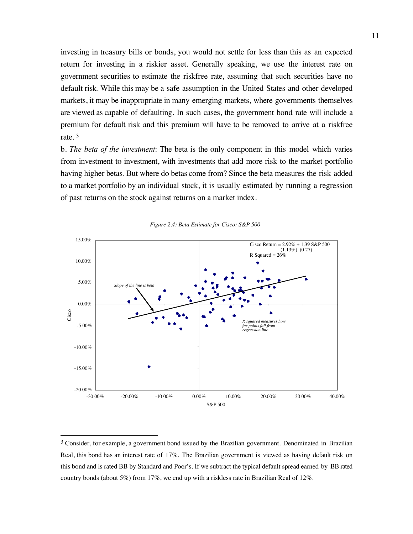investing in treasury bills or bonds, you would not settle for less than this as an expected return for investing in a riskier asset. Generally speaking, we use the interest rate on government securities to estimate the riskfree rate, assuming that such securities have no default risk. While this may be a safe assumption in the United States and other developed markets, it may be inappropriate in many emerging markets, where governments themselves are viewed as capable of defaulting. In such cases, the government bond rate will include a premium for default risk and this premium will have to be removed to arrive at a riskfree rate. 3

b. *The beta of the investment*: The beta is the only component in this model which varies from investment to investment, with investments that add more risk to the market portfolio having higher betas. But where do betas come from? Since the beta measures the risk added to a market portfolio by an individual stock, it is usually estimated by running a regression of past returns on the stock against returns on a market index.



#### *Figure 2.4: Beta Estimate for Cisco: S&P 500*

 $\overline{a}$ 

<sup>&</sup>lt;sup>3</sup> Consider, for example, a government bond issued by the Brazilian government. Denominated in Brazilian Real, this bond has an interest rate of 17%. The Brazilian government is viewed as having default risk on this bond and is rated BB by Standard and Poor's. If we subtract the typical default spread earned by BB rated country bonds (about 5%) from 17%, we end up with a riskless rate in Brazilian Real of 12%.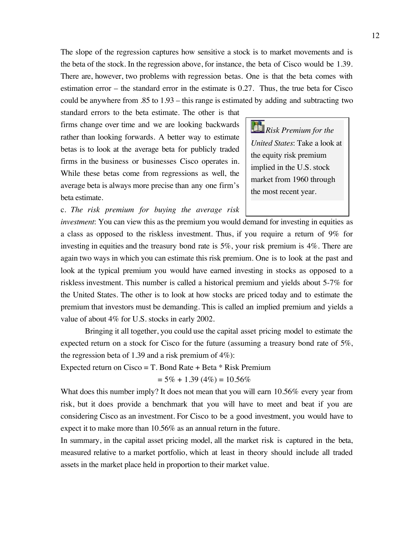The slope of the regression captures how sensitive a stock is to market movements and is the beta of the stock. In the regression above, for instance, the beta of Cisco would be 1.39. There are, however, two problems with regression betas. One is that the beta comes with estimation error – the standard error in the estimate is 0.27. Thus, the true beta for Cisco could be anywhere from .85 to 1.93 – this range is estimated by adding and subtracting two

standard errors to the beta estimate. The other is that firms change over time and we are looking backwards rather than looking forwards. A better way to estimate betas is to look at the average beta for publicly traded firms in the business or businesses Cisco operates in. While these betas come from regressions as well, the average beta is always more precise than any one firm's beta estimate.

*Risk Premium for the United States*: Take a look at the equity risk premium implied in the U.S. stock market from 1960 through the most recent year.

c. *The risk premium for buying the average risk*

*investment*: You can view this as the premium you would demand for investing in equities as a class as opposed to the riskless investment. Thus, if you require a return of 9% for investing in equities and the treasury bond rate is 5%, your risk premium is 4%. There are again two ways in which you can estimate this risk premium. One is to look at the past and look at the typical premium you would have earned investing in stocks as opposed to a riskless investment. This number is called a historical premium and yields about 5-7% for the United States. The other is to look at how stocks are priced today and to estimate the premium that investors must be demanding. This is called an implied premium and yields a value of about 4% for U.S. stocks in early 2002.

Bringing it all together, you could use the capital asset pricing model to estimate the expected return on a stock for Cisco for the future (assuming a treasury bond rate of  $5\%$ , the regression beta of 1.39 and a risk premium of 4%):

Expected return on Cisco = T. Bond Rate + Beta  $*$  Risk Premium

$$
= 5\% + 1.39 \ (4\%) = 10.56\%
$$

What does this number imply? It does not mean that you will earn 10.56% every year from risk, but it does provide a benchmark that you will have to meet and beat if you are considering Cisco as an investment. For Cisco to be a good investment, you would have to expect it to make more than 10.56% as an annual return in the future.

In summary, in the capital asset pricing model, all the market risk is captured in the beta, measured relative to a market portfolio, which at least in theory should include all traded assets in the market place held in proportion to their market value.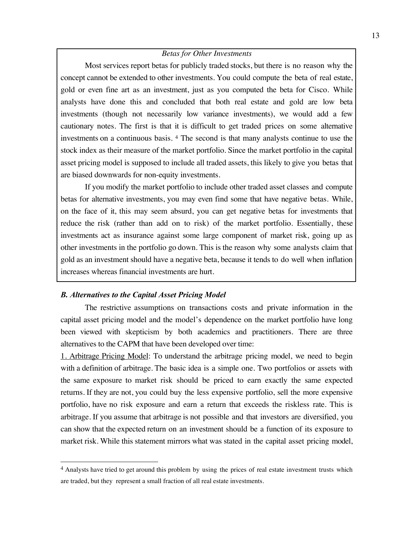## *Betas for Other Investments*

Most services report betas for publicly traded stocks, but there is no reason why the concept cannot be extended to other investments. You could compute the beta of real estate, gold or even fine art as an investment, just as you computed the beta for Cisco. While analysts have done this and concluded that both real estate and gold are low beta investments (though not necessarily low variance investments), we would add a few cautionary notes. The first is that it is difficult to get traded prices on some alternative investments on a continuous basis. 4 The second is that many analysts continue to use the stock index as their measure of the market portfolio. Since the market portfolio in the capital asset pricing model is supposed to include all traded assets, this likely to give you betas that are biased downwards for non-equity investments.

If you modify the market portfolio to include other traded asset classes and compute betas for alternative investments, you may even find some that have negative betas. While, on the face of it, this may seem absurd, you can get negative betas for investments that reduce the risk (rather than add on to risk) of the market portfolio. Essentially, these investments act as insurance against some large component of market risk, going up as other investments in the portfolio go down. This is the reason why some analysts claim that gold as an investment should have a negative beta, because it tends to do well when inflation increases whereas financial investments are hurt.

## *B. Alternatives to the Capital Asset Pricing Model*

 $\overline{a}$ 

The restrictive assumptions on transactions costs and private information in the capital asset pricing model and the model's dependence on the market portfolio have long been viewed with skepticism by both academics and practitioners. There are three alternatives to the CAPM that have been developed over time:

1. Arbitrage Pricing Model: To understand the arbitrage pricing model, we need to begin with a definition of arbitrage. The basic idea is a simple one. Two portfolios or assets with the same exposure to market risk should be priced to earn exactly the same expected returns. If they are not, you could buy the less expensive portfolio, sell the more expensive portfolio, have no risk exposure and earn a return that exceeds the riskless rate. This is arbitrage. If you assume that arbitrage is not possible and that investors are diversified, you can show that the expected return on an investment should be a function of its exposure to market risk. While this statement mirrors what was stated in the capital asset pricing model,

<sup>&</sup>lt;sup>4</sup> Analysts have tried to get around this problem by using the prices of real estate investment trusts which are traded, but they represent a small fraction of all real estate investments.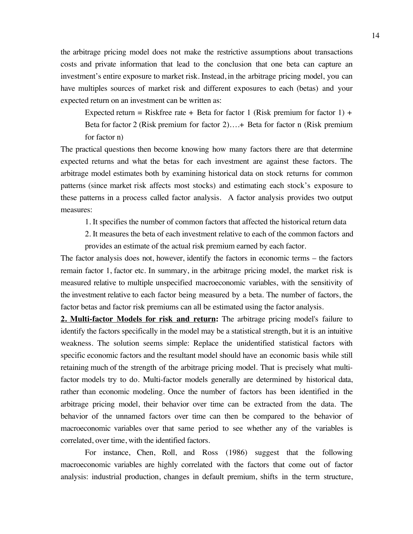the arbitrage pricing model does not make the restrictive assumptions about transactions costs and private information that lead to the conclusion that one beta can capture an investment's entire exposure to market risk. Instead, in the arbitrage pricing model, you can have multiples sources of market risk and different exposures to each (betas) and your expected return on an investment can be written as:

Expected return = Riskfree rate + Beta for factor 1 (Risk premium for factor 1) + Beta for factor 2 (Risk premium for factor 2)….+ Beta for factor n (Risk premium for factor n)

The practical questions then become knowing how many factors there are that determine expected returns and what the betas for each investment are against these factors. The arbitrage model estimates both by examining historical data on stock returns for common patterns (since market risk affects most stocks) and estimating each stock's exposure to these patterns in a process called factor analysis. A factor analysis provides two output measures:

1. It specifies the number of common factors that affected the historical return data

2. It measures the beta of each investment relative to each of the common factors and provides an estimate of the actual risk premium earned by each factor.

The factor analysis does not, however, identify the factors in economic terms – the factors remain factor 1, factor etc. In summary, in the arbitrage pricing model, the market risk is measured relative to multiple unspecified macroeconomic variables, with the sensitivity of the investment relative to each factor being measured by a beta. The number of factors, the factor betas and factor risk premiums can all be estimated using the factor analysis.

**2. Multi-factor Models for risk and return:** The arbitrage pricing model's failure to identify the factors specifically in the model may be a statistical strength, but it is an intuitive weakness. The solution seems simple: Replace the unidentified statistical factors with specific economic factors and the resultant model should have an economic basis while still retaining much of the strength of the arbitrage pricing model. That is precisely what multifactor models try to do. Multi-factor models generally are determined by historical data, rather than economic modeling. Once the number of factors has been identified in the arbitrage pricing model, their behavior over time can be extracted from the data. The behavior of the unnamed factors over time can then be compared to the behavior of macroeconomic variables over that same period to see whether any of the variables is correlated, over time, with the identified factors.

For instance, Chen, Roll, and Ross (1986) suggest that the following macroeconomic variables are highly correlated with the factors that come out of factor analysis: industrial production, changes in default premium, shifts in the term structure,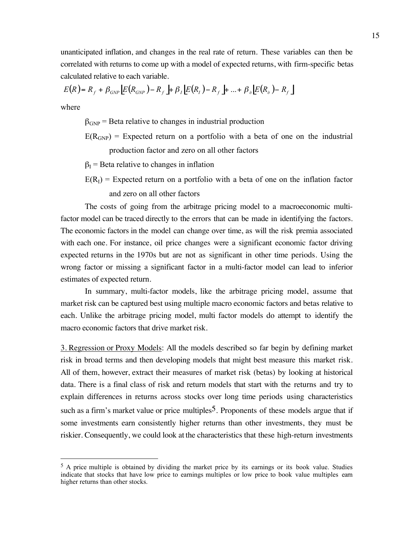unanticipated inflation, and changes in the real rate of return. These variables can then be correlated with returns to come up with a model of expected returns, with firm-specific betas calculated relative to each variable.

$$
E(R) = R_f + \beta_{GNP} \left[ E(R_{GNP}) - R_f \right] + \beta_I \left[ E(R_I) - R_f \right] + ... + \beta_{\partial} \left[ E(R_{\partial}) - R_f \right]
$$

where

 $\overline{a}$ 

 $\beta_{GNP}$  = Beta relative to changes in industrial production

- $E(R_{GNP})$  = Expected return on a portfolio with a beta of one on the industrial production factor and zero on all other factors
- $\beta_I$  = Beta relative to changes in inflation
- $E(R<sub>I</sub>)$  = Expected return on a portfolio with a beta of one on the inflation factor and zero on all other factors

The costs of going from the arbitrage pricing model to a macroeconomic multifactor model can be traced directly to the errors that can be made in identifying the factors. The economic factors in the model can change over time, as will the risk premia associated with each one. For instance, oil price changes were a significant economic factor driving expected returns in the 1970s but are not as significant in other time periods. Using the wrong factor or missing a significant factor in a multi-factor model can lead to inferior estimates of expected return.

In summary, multi-factor models, like the arbitrage pricing model, assume that market risk can be captured best using multiple macro economic factors and betas relative to each. Unlike the arbitrage pricing model, multi factor models do attempt to identify the macro economic factors that drive market risk.

3. Regression or Proxy Models: All the models described so far begin by defining market risk in broad terms and then developing models that might best measure this market risk. All of them, however, extract their measures of market risk (betas) by looking at historical data. There is a final class of risk and return models that start with the returns and try to explain differences in returns across stocks over long time periods using characteristics such as a firm's market value or price multiples<sup>5</sup>. Proponents of these models argue that if some investments earn consistently higher returns than other investments, they must be riskier. Consequently, we could look at the characteristics that these high-return investments

<sup>5</sup> A price multiple is obtained by dividing the market price by its earnings or its book value. Studies indicate that stocks that have low price to earnings multiples or low price to book value multiples earn higher returns than other stocks.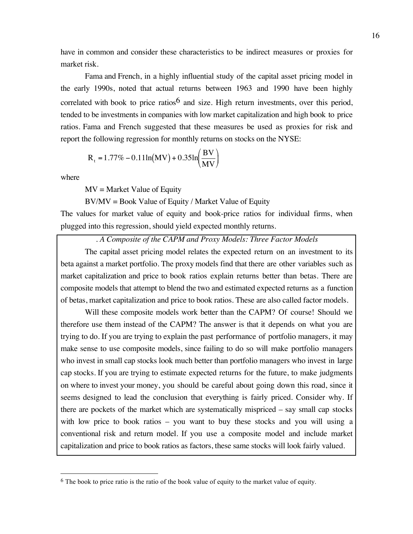have in common and consider these characteristics to be indirect measures or proxies for market risk.

Fama and French, in a highly influential study of the capital asset pricing model in the early 1990s, noted that actual returns between 1963 and 1990 have been highly correlated with book to price ratios  $\epsilon$  and size. High return investments, over this period, tended to be investments in companies with low market capitalization and high book to price ratios. Fama and French suggested that these measures be used as proxies for risk and report the following regression for monthly returns on stocks on the NYSE:

$$
R_{t} = 1.77\% - 0.11\ln(MV) + 0.35\ln\left(\frac{BV}{MV}\right)
$$

where

 $\overline{a}$ 

 $MV = Market Value of Equity$ 

BV/MV = Book Value of Equity / Market Value of Equity The values for market value of equity and book-price ratios for individual firms, when plugged into this regression, should yield expected monthly returns.

## *. A Composite of the CAPM and Proxy Models: Three Factor Models*

The capital asset pricing model relates the expected return on an investment to its beta against a market portfolio. The proxy models find that there are other variables such as market capitalization and price to book ratios explain returns better than betas. There are composite models that attempt to blend the two and estimated expected returns as a function of betas, market capitalization and price to book ratios. These are also called factor models.

Will these composite models work better than the CAPM? Of course! Should we therefore use them instead of the CAPM? The answer is that it depends on what you are trying to do. If you are trying to explain the past performance of portfolio managers, it may make sense to use composite models, since failing to do so will make portfolio managers who invest in small cap stocks look much better than portfolio managers who invest in large cap stocks. If you are trying to estimate expected returns for the future, to make judgments on where to invest your money, you should be careful about going down this road, since it seems designed to lead the conclusion that everything is fairly priced. Consider why. If there are pockets of the market which are systematically mispriced – say small cap stocks with low price to book ratios – you want to buy these stocks and you will using a conventional risk and return model. If you use a composite model and include market capitalization and price to book ratios as factors, these same stocks will look fairly valued.

 $6$  The book to price ratio is the ratio of the book value of equity to the market value of equity.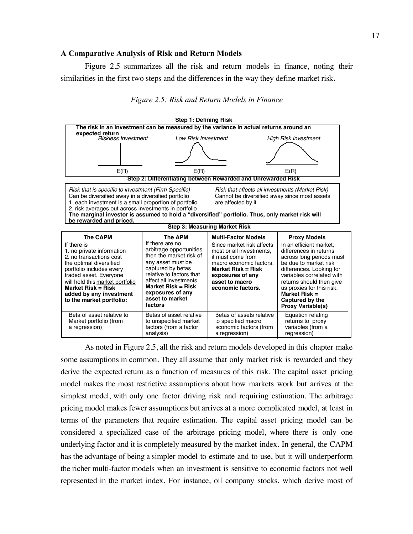### **A Comparative Analysis of Risk and Return Models**

Figure 2.5 summarizes all the risk and return models in finance, noting their similarities in the first two steps and the differences in the way they define market risk.





As noted in Figure 2.5, all the risk and return models developed in this chapter make some assumptions in common. They all assume that only market risk is rewarded and they derive the expected return as a function of measures of this risk. The capital asset pricing model makes the most restrictive assumptions about how markets work but arrives at the simplest model, with only one factor driving risk and requiring estimation. The arbitrage pricing model makes fewer assumptions but arrives at a more complicated model, at least in terms of the parameters that require estimation. The capital asset pricing model can be considered a specialized case of the arbitrage pricing model, where there is only one underlying factor and it is completely measured by the market index. In general, the CAPM has the advantage of being a simpler model to estimate and to use, but it will underperform the richer multi-factor models when an investment is sensitive to economic factors not well represented in the market index. For instance, oil company stocks, which derive most of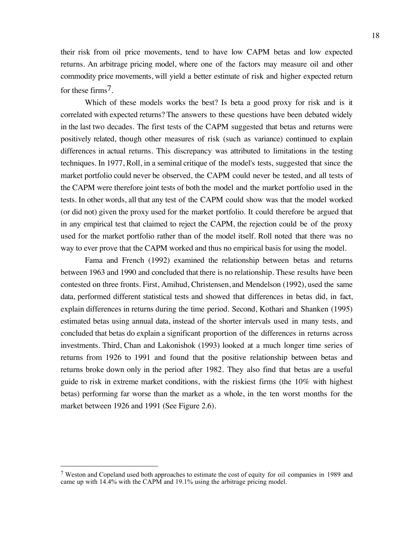their risk from oil price movements, tend to have low CAPM betas and low expected returns. An arbitrage pricing model, where one of the factors may measure oil and other commodity price movements, will yield a better estimate of risk and higher expected return for these firms7.

Which of these models works the best? Is beta a good proxy for risk and is it correlated with expected returns? The answers to these questions have been debated widely in the last two decades. The first tests of the CAPM suggested that betas and returns were positively related, though other measures of risk (such as variance) continued to explain differences in actual returns. This discrepancy was attributed to limitations in the testing techniques. In 1977, Roll, in a seminal critique of the model's tests, suggested that since the market portfolio could never be observed, the CAPM could never be tested, and all tests of the CAPM were therefore joint tests of both the model and the market portfolio used in the tests. In other words, all that any test of the CAPM could show was that the model worked (or did not) given the proxy used for the market portfolio. It could therefore be argued that in any empirical test that claimed to reject the CAPM, the rejection could be of the proxy used for the market portfolio rather than of the model itself. Roll noted that there was no way to ever prove that the CAPM worked and thus no empirical basis for using the model.

Fama and French (1992) examined the relationship between betas and returns between 1963 and 1990 and concluded that there is no relationship. These results have been contested on three fronts. First, Amihud, Christensen, and Mendelson (1992), used the same data, performed different statistical tests and showed that differences in betas did, in fact, explain differences in returns during the time period. Second, Kothari and Shanken (1995) estimated betas using annual data, instead of the shorter intervals used in many tests, and concluded that betas do explain a significant proportion of the differences in returns across investments. Third, Chan and Lakonishok (1993) looked at a much longer time series of returns from 1926 to 1991 and found that the positive relationship between betas and returns broke down only in the period after 1982. They also find that betas are a useful guide to risk in extreme market conditions, with the riskiest firms (the 10% with highest betas) performing far worse than the market as a whole, in the ten worst months for the market between 1926 and 1991 (See Figure 2.6).

 $\overline{a}$ 

<sup>7</sup> Weston and Copeland used both approaches to estimate the cost of equity for oil companies in 1989 and came up with 14.4% with the CAPM and 19.1% using the arbitrage pricing model.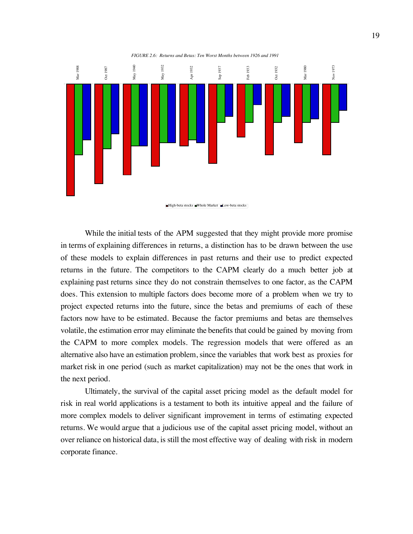*FIGURE 2.6: Returns and Betas: Ten Worst Months between 1926 and 1991*



While the initial tests of the APM suggested that they might provide more promise in terms of explaining differences in returns, a distinction has to be drawn between the use of these models to explain differences in past returns and their use to predict expected returns in the future. The competitors to the CAPM clearly do a much better job at explaining past returns since they do not constrain themselves to one factor, as the CAPM does. This extension to multiple factors does become more of a problem when we try to project expected returns into the future, since the betas and premiums of each of these factors now have to be estimated. Because the factor premiums and betas are themselves volatile, the estimation error may eliminate the benefits that could be gained by moving from the CAPM to more complex models. The regression models that were offered as an alternative also have an estimation problem, since the variables that work best as proxies for market risk in one period (such as market capitalization) may not be the ones that work in the next period.

Ultimately, the survival of the capital asset pricing model as the default model for risk in real world applications is a testament to both its intuitive appeal and the failure of more complex models to deliver significant improvement in terms of estimating expected returns. We would argue that a judicious use of the capital asset pricing model, without an over reliance on historical data, is still the most effective way of dealing with risk in modern corporate finance.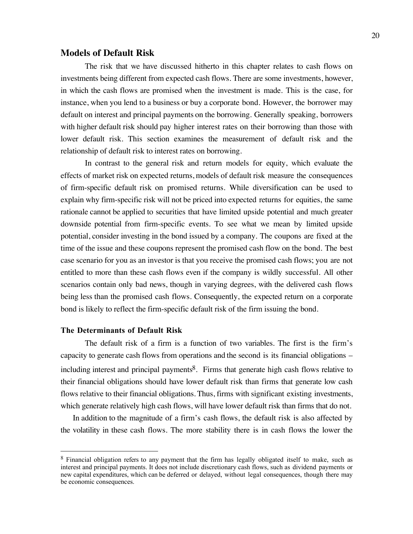## **Models of Default Risk**

The risk that we have discussed hitherto in this chapter relates to cash flows on investments being different from expected cash flows. There are some investments, however, in which the cash flows are promised when the investment is made. This is the case, for instance, when you lend to a business or buy a corporate bond. However, the borrower may default on interest and principal payments on the borrowing. Generally speaking, borrowers with higher default risk should pay higher interest rates on their borrowing than those with lower default risk. This section examines the measurement of default risk and the relationship of default risk to interest rates on borrowing.

In contrast to the general risk and return models for equity, which evaluate the effects of market risk on expected returns, models of default risk measure the consequences of firm-specific default risk on promised returns. While diversification can be used to explain why firm-specific risk will not be priced into expected returns for equities, the same rationale cannot be applied to securities that have limited upside potential and much greater downside potential from firm-specific events. To see what we mean by limited upside potential, consider investing in the bond issued by a company. The coupons are fixed at the time of the issue and these coupons represent the promised cash flow on the bond. The best case scenario for you as an investor is that you receive the promised cash flows; you are not entitled to more than these cash flows even if the company is wildly successful. All other scenarios contain only bad news, though in varying degrees, with the delivered cash flows being less than the promised cash flows. Consequently, the expected return on a corporate bond is likely to reflect the firm-specific default risk of the firm issuing the bond.

## **The Determinants of Default Risk**

 $\overline{a}$ 

The default risk of a firm is a function of two variables. The first is the firm's capacity to generate cash flows from operations and the second is its financial obligations – including interest and principal payments<sup>8</sup>. Firms that generate high cash flows relative to their financial obligations should have lower default risk than firms that generate low cash flows relative to their financial obligations. Thus, firms with significant existing investments, which generate relatively high cash flows, will have lower default risk than firms that do not.

In addition to the magnitude of a firm's cash flows, the default risk is also affected by the volatility in these cash flows. The more stability there is in cash flows the lower the

<sup>8</sup> Financial obligation refers to any payment that the firm has legally obligated itself to make, such as interest and principal payments. It does not include discretionary cash flows, such as dividend payments or new capital expenditures, which can be deferred or delayed, without legal consequences, though there may be economic consequences.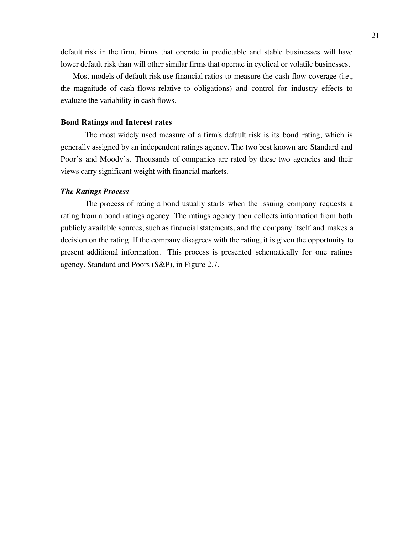default risk in the firm. Firms that operate in predictable and stable businesses will have lower default risk than will other similar firms that operate in cyclical or volatile businesses.

Most models of default risk use financial ratios to measure the cash flow coverage (i.e., the magnitude of cash flows relative to obligations) and control for industry effects to evaluate the variability in cash flows.

## **Bond Ratings and Interest rates**

The most widely used measure of a firm's default risk is its bond rating, which is generally assigned by an independent ratings agency. The two best known are Standard and Poor's and Moody's. Thousands of companies are rated by these two agencies and their views carry significant weight with financial markets.

### *The Ratings Process*

The process of rating a bond usually starts when the issuing company requests a rating from a bond ratings agency. The ratings agency then collects information from both publicly available sources, such as financial statements, and the company itself and makes a decision on the rating. If the company disagrees with the rating, it is given the opportunity to present additional information. This process is presented schematically for one ratings agency, Standard and Poors (S&P), in Figure 2.7.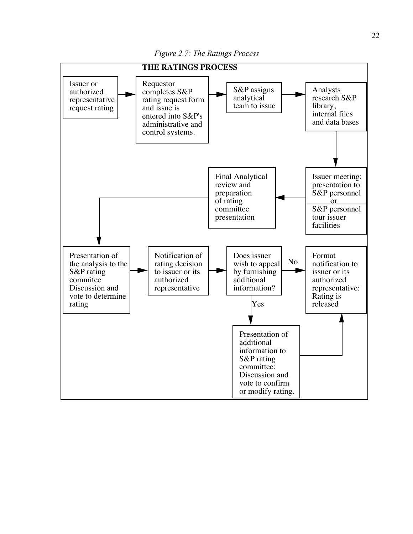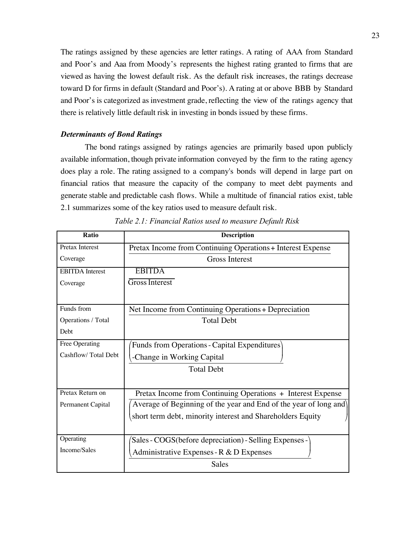The ratings assigned by these agencies are letter ratings. A rating of AAA from Standard and Poor's and Aaa from Moody's represents the highest rating granted to firms that are viewed as having the lowest default risk. As the default risk increases, the ratings decrease toward D for firms in default (Standard and Poor's). A rating at or above BBB by Standard and Poor's is categorized as investment grade, reflecting the view of the ratings agency that there is relatively little default risk in investing in bonds issued by these firms.

## *Determinants of Bond Ratings*

The bond ratings assigned by ratings agencies are primarily based upon publicly available information, though private information conveyed by the firm to the rating agency does play a role. The rating assigned to a company's bonds will depend in large part on financial ratios that measure the capacity of the company to meet debt payments and generate stable and predictable cash flows. While a multitude of financial ratios exist, table 2.1 summarizes some of the key ratios used to measure default risk.

| <b>Ratio</b>           | <b>Description</b>                                               |  |  |  |  |
|------------------------|------------------------------------------------------------------|--|--|--|--|
| Pretax Interest        | Pretax Income from Continuing Operations + Interest Expense      |  |  |  |  |
| Coverage               | <b>Gross Interest</b>                                            |  |  |  |  |
| <b>EBITDA</b> Interest | <b>EBITDA</b>                                                    |  |  |  |  |
| Coverage               | Gross Interest                                                   |  |  |  |  |
|                        |                                                                  |  |  |  |  |
| Funds from             | Net Income from Continuing Operations + Depreciation             |  |  |  |  |
| Operations / Total     | <b>Total Debt</b>                                                |  |  |  |  |
| Debt                   |                                                                  |  |  |  |  |
| Free Operating         | Funds from Operations - Capital Expenditures                     |  |  |  |  |
| Cashflow/Total Debt    | -Change in Working Capital                                       |  |  |  |  |
|                        | <b>Total Debt</b>                                                |  |  |  |  |
|                        |                                                                  |  |  |  |  |
| Pretax Return on       | Pretax Income from Continuing Operations + Interest Expense      |  |  |  |  |
| Permanent Capital      | Average of Beginning of the year and End of the year of long and |  |  |  |  |
|                        | short term debt, minority interest and Shareholders Equity       |  |  |  |  |
|                        |                                                                  |  |  |  |  |
| Operating              | Sales - COGS(before depreciation) - Selling Expenses -           |  |  |  |  |
| Income/Sales           | Administrative Expenses - R & D Expenses                         |  |  |  |  |
|                        | Sales                                                            |  |  |  |  |

*Table 2.1: Financial Ratios used to measure Default Risk*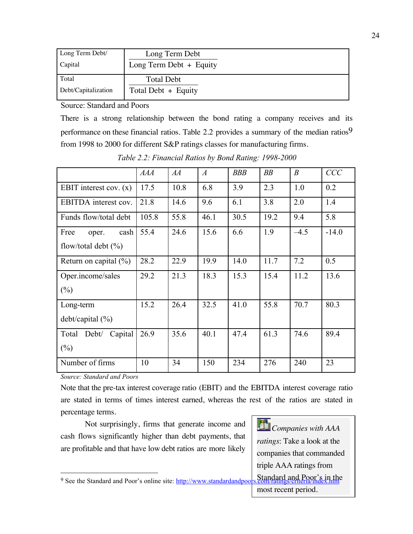| Long Term Debt/     | Long Term Debt            |
|---------------------|---------------------------|
| Capital             | Long Term Debt $+$ Equity |
| Total               | <b>Total Debt</b>         |
| Debt/Capitalization | Total Debt + Equity       |

Source: Standard and Poors

There is a strong relationship between the bond rating a company receives and its performance on these financial ratios. Table 2.2 provides a summary of the median ratios<sup>9</sup> from 1998 to 2000 for different S&P ratings classes for manufacturing firms.

|                           | AAA   | AA   | $\overline{A}$ | <b>BBB</b> | BB   | $\boldsymbol{B}$ | <b>CCC</b> |
|---------------------------|-------|------|----------------|------------|------|------------------|------------|
| EBIT interest cov. $(x)$  | 17.5  | 10.8 | 6.8            | 3.9        | 2.3  | 1.0              | 0.2        |
| EBITDA interest cov.      | 21.8  | 14.6 | 9.6            | 6.1        | 3.8  | 2.0              | 1.4        |
| Funds flow/total debt     | 105.8 | 55.8 | 46.1           | 30.5       | 19.2 | 9.4              | 5.8        |
| Free<br>cash<br>oper.     | 55.4  | 24.6 | 15.6           | 6.6        | 1.9  | $-4.5$           | $-14.0$    |
| flow/total debt $(\% )$   |       |      |                |            |      |                  |            |
| Return on capital $(\% )$ | 28.2  | 22.9 | 19.9           | 14.0       | 11.7 | 7.2              | 0.5        |
| Oper.income/sales         | 29.2  | 21.3 | 18.3           | 15.3       | 15.4 | 11.2             | 13.6       |
| $(\%)$                    |       |      |                |            |      |                  |            |
| Long-term                 | 15.2  | 26.4 | 32.5           | 41.0       | 55.8 | 70.7             | 80.3       |
| $debt/capital$ (%)        |       |      |                |            |      |                  |            |
| Total Debt/ Capital       | 26.9  | 35.6 | 40.1           | 47.4       | 61.3 | 74.6             | 89.4       |
| $(\%)$                    |       |      |                |            |      |                  |            |
| Number of firms           | 10    | 34   | 150            | 234        | 276  | 240              | 23         |

*Table 2.2: Financial Ratios by Bond Rating: 1998-2000*

*Source: Standard and Poors*

 $\overline{a}$ 

Note that the pre-tax interest coverage ratio (EBIT) and the EBITDA interest coverage ratio are stated in terms of times interest earned, whereas the rest of the ratios are stated in percentage terms.

Not surprisingly, firms that generate income and cash flows significantly higher than debt payments, that are profitable and that have low debt ratios are more likely

*Companies with AAA ratings*: Take a look at the companies that commanded triple AAA ratings from Standard and Poor's in the

most recent period.

<sup>9</sup> See the Standard and Poor's online site: http://www.standardandpoo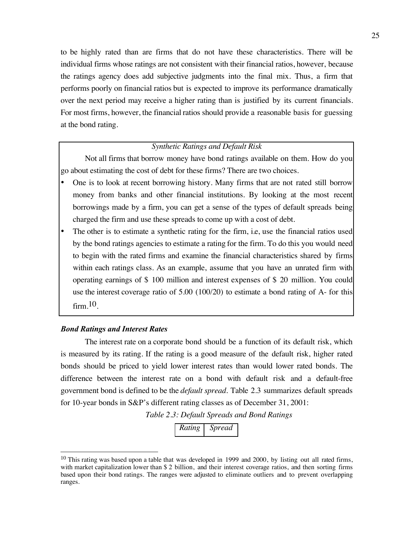to be highly rated than are firms that do not have these characteristics. There will be individual firms whose ratings are not consistent with their financial ratios, however, because the ratings agency does add subjective judgments into the final mix. Thus, a firm that performs poorly on financial ratios but is expected to improve its performance dramatically over the next period may receive a higher rating than is justified by its current financials. For most firms, however, the financial ratios should provide a reasonable basis for guessing at the bond rating.

## *Synthetic Ratings and Default Risk*

Not all firms that borrow money have bond ratings available on them. How do you go about estimating the cost of debt for these firms? There are two choices.

- One is to look at recent borrowing history. Many firms that are not rated still borrow money from banks and other financial institutions. By looking at the most recent borrowings made by a firm, you can get a sense of the types of default spreads being charged the firm and use these spreads to come up with a cost of debt.
- The other is to estimate a synthetic rating for the firm, i.e., use the financial ratios used by the bond ratings agencies to estimate a rating for the firm. To do this you would need to begin with the rated firms and examine the financial characteristics shared by firms within each ratings class. As an example, assume that you have an unrated firm with operating earnings of \$ 100 million and interest expenses of \$ 20 million. You could use the interest coverage ratio of 5.00 (100/20) to estimate a bond rating of A- for this  $f_{\rm{irm}}$ ,  $10$ .

### *Bond Ratings and Interest Rates*

 $\overline{a}$ 

The interest rate on a corporate bond should be a function of its default risk, which is measured by its rating. If the rating is a good measure of the default risk, higher rated bonds should be priced to yield lower interest rates than would lower rated bonds. The difference between the interest rate on a bond with default risk and a default-free government bond is defined to be the *default spread*. Table 2.3 summarizes default spreads for 10-year bonds in S&P's different rating classes as of December 31, 2001:

*Table 2.3: Default Spreads and Bond Ratings*

*Rating Spread*

 $10$  This rating was based upon a table that was developed in 1999 and 2000, by listing out all rated firms, with market capitalization lower than \$ 2 billion, and their interest coverage ratios, and then sorting firms based upon their bond ratings. The ranges were adjusted to eliminate outliers and to prevent overlapping ranges.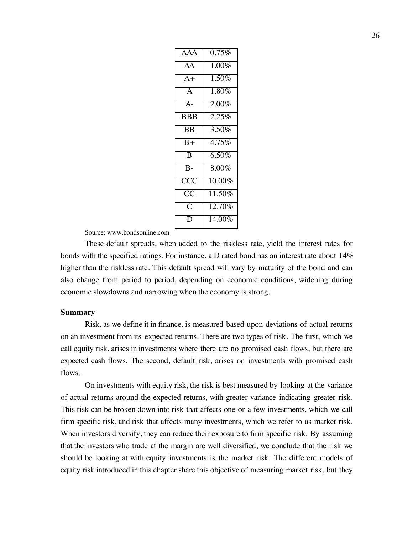| <b>AAA</b>              | 0.75%     |
|-------------------------|-----------|
| AA                      | $1.00\%$  |
| $A+$                    | $1.50\%$  |
| $\mathsf{A}$            | $1.80\%$  |
| $A-$                    | $2.00\%$  |
| <b>BBB</b>              | 2.25%     |
| $\overline{BB}$         | $3.50\%$  |
| $B+$                    | $4.75\%$  |
| B.                      | $6.50\%$  |
| $B -$                   | $8.00\%$  |
| CCC                     | $10.00\%$ |
| $\overline{CC}$         | $11.50\%$ |
| $\overline{\mathsf{C}}$ | 12.70%    |
| D                       | 14.00%    |

Source: www.bondsonline.com

These default spreads, when added to the riskless rate, yield the interest rates for bonds with the specified ratings. For instance, a D rated bond has an interest rate about 14% higher than the riskless rate. This default spread will vary by maturity of the bond and can also change from period to period, depending on economic conditions, widening during economic slowdowns and narrowing when the economy is strong.

## **Summary**

Risk, as we define it in finance, is measured based upon deviations of actual returns on an investment from its' expected returns. There are two types of risk. The first, which we call equity risk, arises in investments where there are no promised cash flows, but there are expected cash flows. The second, default risk, arises on investments with promised cash flows.

On investments with equity risk, the risk is best measured by looking at the variance of actual returns around the expected returns, with greater variance indicating greater risk. This risk can be broken down into risk that affects one or a few investments, which we call firm specific risk, and risk that affects many investments, which we refer to as market risk. When investors diversify, they can reduce their exposure to firm specific risk. By assuming that the investors who trade at the margin are well diversified, we conclude that the risk we should be looking at with equity investments is the market risk. The different models of equity risk introduced in this chapter share this objective of measuring market risk, but they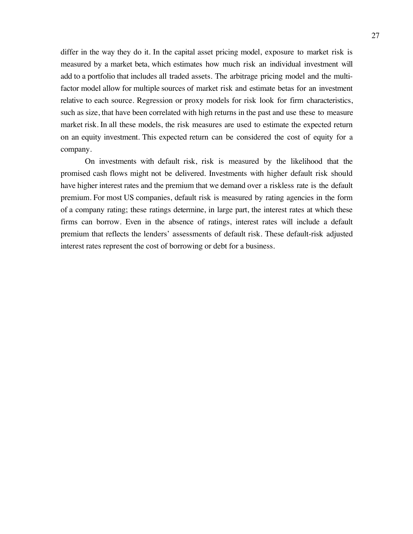differ in the way they do it. In the capital asset pricing model, exposure to market risk is measured by a market beta, which estimates how much risk an individual investment will add to a portfolio that includes all traded assets. The arbitrage pricing model and the multifactor model allow for multiple sources of market risk and estimate betas for an investment relative to each source. Regression or proxy models for risk look for firm characteristics, such as size, that have been correlated with high returns in the past and use these to measure market risk. In all these models, the risk measures are used to estimate the expected return on an equity investment. This expected return can be considered the cost of equity for a company.

On investments with default risk, risk is measured by the likelihood that the promised cash flows might not be delivered. Investments with higher default risk should have higher interest rates and the premium that we demand over a riskless rate is the default premium. For most US companies, default risk is measured by rating agencies in the form of a company rating; these ratings determine, in large part, the interest rates at which these firms can borrow. Even in the absence of ratings, interest rates will include a default premium that reflects the lenders' assessments of default risk. These default-risk adjusted interest rates represent the cost of borrowing or debt for a business.